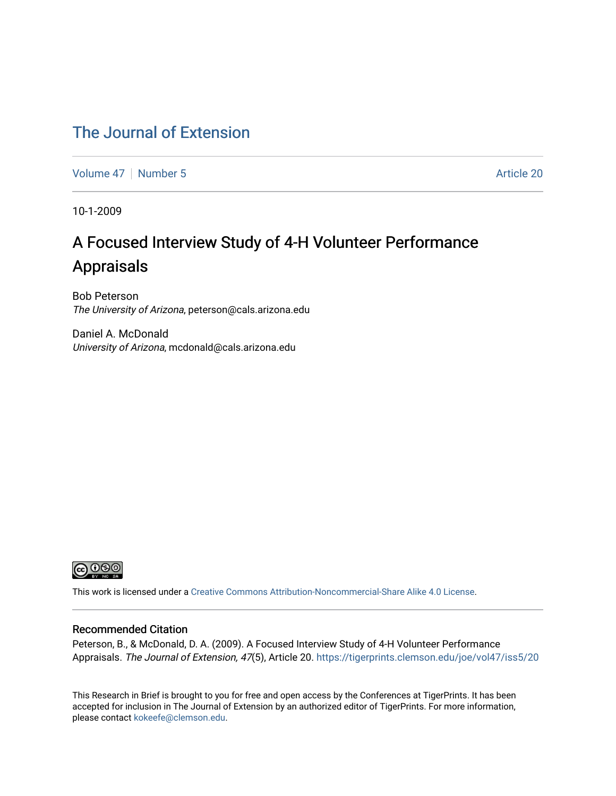### [The Journal of Extension](https://tigerprints.clemson.edu/joe)

[Volume 47](https://tigerprints.clemson.edu/joe/vol47) | [Number 5](https://tigerprints.clemson.edu/joe/vol47/iss5) Article 20

10-1-2009

### A Focused Interview Study of 4-H Volunteer Performance Appraisals

Bob Peterson The University of Arizona, peterson@cals.arizona.edu

Daniel A. McDonald University of Arizona, mcdonald@cals.arizona.edu



This work is licensed under a [Creative Commons Attribution-Noncommercial-Share Alike 4.0 License.](https://creativecommons.org/licenses/by-nc-sa/4.0/)

#### Recommended Citation

Peterson, B., & McDonald, D. A. (2009). A Focused Interview Study of 4-H Volunteer Performance Appraisals. The Journal of Extension, 47(5), Article 20. https://tigerprints.clemson.edu/joe/vol47/iss5/20

This Research in Brief is brought to you for free and open access by the Conferences at TigerPrints. It has been accepted for inclusion in The Journal of Extension by an authorized editor of TigerPrints. For more information, please contact [kokeefe@clemson.edu](mailto:kokeefe@clemson.edu).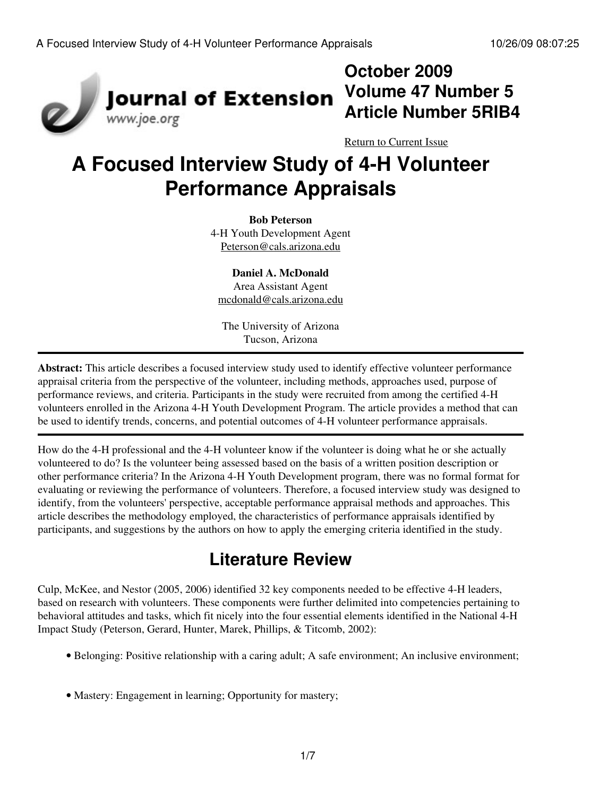

### **October 2009 Volume 47 Number 5 Article Number 5RIB4**

[Return to Current Issue](http://www.joe.org:80/joe/2009october/)

# **A Focused Interview Study of 4-H Volunteer Performance Appraisals**

**Bob Peterson** 4-H Youth Development Agent [Peterson@cals.arizona.edu](mailto:Peterson@cals.arizona.edu)

**Daniel A. McDonald** Area Assistant Agent [mcdonald@cals.arizona.edu](mailto:mcdonald@cals.arizona.edu)

The University of Arizona Tucson, Arizona

**Abstract:** This article describes a focused interview study used to identify effective volunteer performance appraisal criteria from the perspective of the volunteer, including methods, approaches used, purpose of performance reviews, and criteria. Participants in the study were recruited from among the certified 4-H volunteers enrolled in the Arizona 4-H Youth Development Program. The article provides a method that can be used to identify trends, concerns, and potential outcomes of 4-H volunteer performance appraisals.

How do the 4-H professional and the 4-H volunteer know if the volunteer is doing what he or she actually volunteered to do? Is the volunteer being assessed based on the basis of a written position description or other performance criteria? In the Arizona 4-H Youth Development program, there was no formal format for evaluating or reviewing the performance of volunteers. Therefore, a focused interview study was designed to identify, from the volunteers' perspective, acceptable performance appraisal methods and approaches. This article describes the methodology employed, the characteristics of performance appraisals identified by participants, and suggestions by the authors on how to apply the emerging criteria identified in the study.

## **Literature Review**

Culp, McKee, and Nestor (2005, 2006) identified 32 key components needed to be effective 4-H leaders, based on research with volunteers. These components were further delimited into competencies pertaining to behavioral attitudes and tasks, which fit nicely into the four essential elements identified in the National 4-H Impact Study (Peterson, Gerard, Hunter, Marek, Phillips, & Titcomb, 2002):

- Belonging: Positive relationship with a caring adult; A safe environment; An inclusive environment;
- Mastery: Engagement in learning; Opportunity for mastery;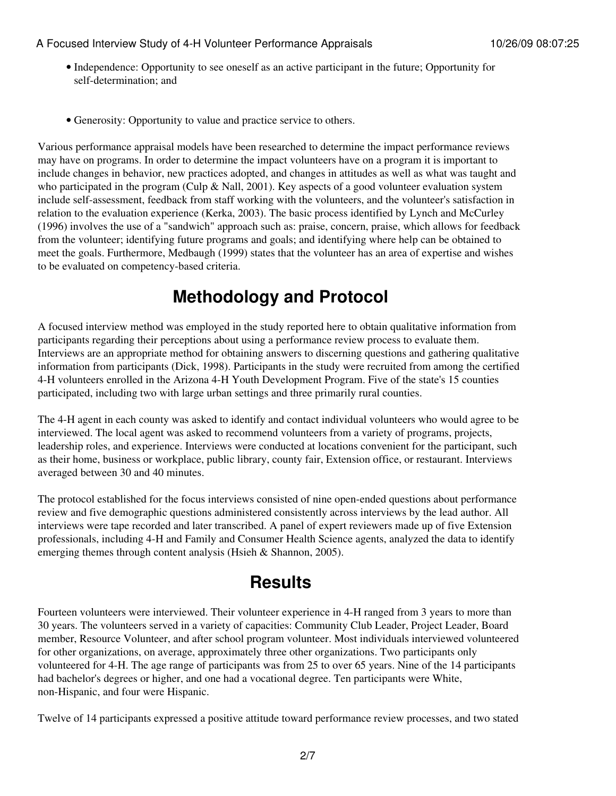- Independence: Opportunity to see oneself as an active participant in the future; Opportunity for self-determination; and
- Generosity: Opportunity to value and practice service to others.

Various performance appraisal models have been researched to determine the impact performance reviews may have on programs. In order to determine the impact volunteers have on a program it is important to include changes in behavior, new practices adopted, and changes in attitudes as well as what was taught and who participated in the program (Culp & Nall, 2001). Key aspects of a good volunteer evaluation system include self-assessment, feedback from staff working with the volunteers, and the volunteer's satisfaction in relation to the evaluation experience (Kerka, 2003). The basic process identified by Lynch and McCurley (1996) involves the use of a "sandwich" approach such as: praise, concern, praise, which allows for feedback from the volunteer; identifying future programs and goals; and identifying where help can be obtained to meet the goals. Furthermore, Medbaugh (1999) states that the volunteer has an area of expertise and wishes to be evaluated on competency-based criteria.

### **Methodology and Protocol**

A focused interview method was employed in the study reported here to obtain qualitative information from participants regarding their perceptions about using a performance review process to evaluate them. Interviews are an appropriate method for obtaining answers to discerning questions and gathering qualitative information from participants (Dick, 1998). Participants in the study were recruited from among the certified 4-H volunteers enrolled in the Arizona 4-H Youth Development Program. Five of the state's 15 counties participated, including two with large urban settings and three primarily rural counties.

The 4-H agent in each county was asked to identify and contact individual volunteers who would agree to be interviewed. The local agent was asked to recommend volunteers from a variety of programs, projects, leadership roles, and experience. Interviews were conducted at locations convenient for the participant, such as their home, business or workplace, public library, county fair, Extension office, or restaurant. Interviews averaged between 30 and 40 minutes.

The protocol established for the focus interviews consisted of nine open-ended questions about performance review and five demographic questions administered consistently across interviews by the lead author. All interviews were tape recorded and later transcribed. A panel of expert reviewers made up of five Extension professionals, including 4-H and Family and Consumer Health Science agents, analyzed the data to identify emerging themes through content analysis (Hsieh & Shannon, 2005).

### **Results**

Fourteen volunteers were interviewed. Their volunteer experience in 4-H ranged from 3 years to more than 30 years. The volunteers served in a variety of capacities: Community Club Leader, Project Leader, Board member, Resource Volunteer, and after school program volunteer. Most individuals interviewed volunteered for other organizations, on average, approximately three other organizations. Two participants only volunteered for 4-H. The age range of participants was from 25 to over 65 years. Nine of the 14 participants had bachelor's degrees or higher, and one had a vocational degree. Ten participants were White, non-Hispanic, and four were Hispanic.

Twelve of 14 participants expressed a positive attitude toward performance review processes, and two stated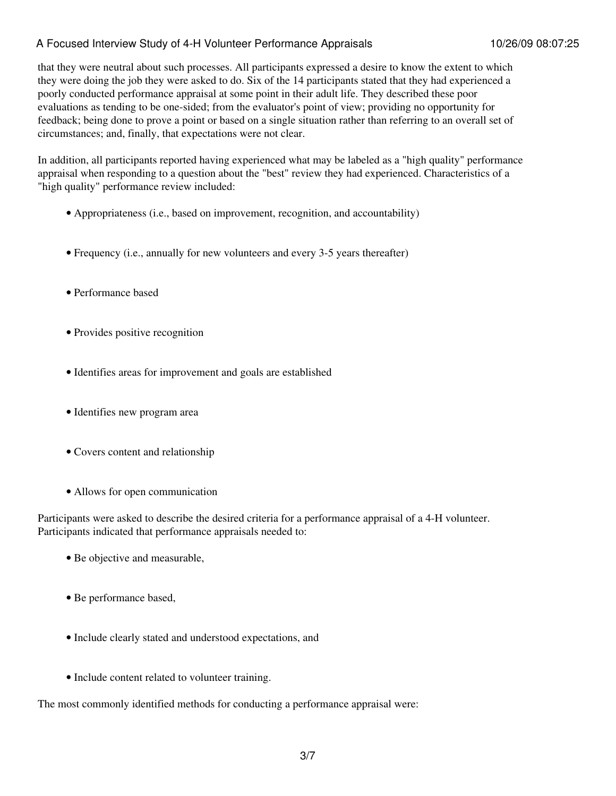#### A Focused Interview Study of 4-H Volunteer Performance Appraisals 10/26/09 08:07:25

that they were neutral about such processes. All participants expressed a desire to know the extent to which they were doing the job they were asked to do. Six of the 14 participants stated that they had experienced a poorly conducted performance appraisal at some point in their adult life. They described these poor evaluations as tending to be one-sided; from the evaluator's point of view; providing no opportunity for feedback; being done to prove a point or based on a single situation rather than referring to an overall set of circumstances; and, finally, that expectations were not clear.

In addition, all participants reported having experienced what may be labeled as a "high quality" performance appraisal when responding to a question about the "best" review they had experienced. Characteristics of a "high quality" performance review included:

- Appropriateness (i.e., based on improvement, recognition, and accountability)
- Frequency (i.e., annually for new volunteers and every 3-5 years thereafter)
- Performance based
- Provides positive recognition
- Identifies areas for improvement and goals are established
- Identifies new program area
- Covers content and relationship
- Allows for open communication

Participants were asked to describe the desired criteria for a performance appraisal of a 4-H volunteer. Participants indicated that performance appraisals needed to:

- Be objective and measurable,
- Be performance based,
- Include clearly stated and understood expectations, and
- Include content related to volunteer training.

The most commonly identified methods for conducting a performance appraisal were: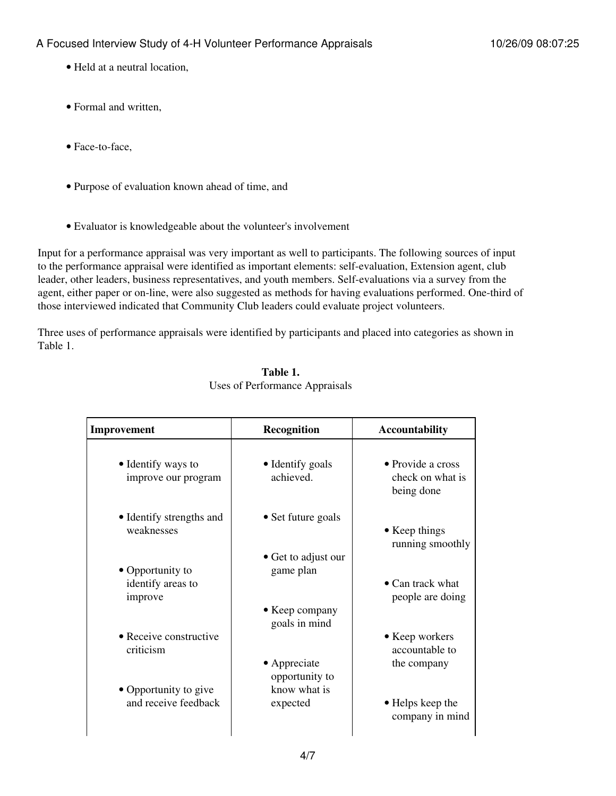- Held at a neutral location,
- Formal and written,
- Face-to-face,
- Purpose of evaluation known ahead of time, and
- Evaluator is knowledgeable about the volunteer's involvement

Input for a performance appraisal was very important as well to participants. The following sources of input to the performance appraisal were identified as important elements: self-evaluation, Extension agent, club leader, other leaders, business representatives, and youth members. Self-evaluations via a survey from the agent, either paper or on-line, were also suggested as methods for having evaluations performed. One-third of those interviewed indicated that Community Club leaders could evaluate project volunteers.

Three uses of performance appraisals were identified by participants and placed into categories as shown in Table 1.

| Improvement                                      | Recognition                                                                 | <b>Accountability</b>                               |
|--------------------------------------------------|-----------------------------------------------------------------------------|-----------------------------------------------------|
| • Identify ways to<br>improve our program        | • Identify goals<br>achieved.                                               | • Provide a cross<br>check on what is<br>being done |
| • Identify strengths and<br>weaknesses           | • Set future goals                                                          | $\bullet$ Keep things<br>running smoothly           |
| • Opportunity to<br>identify areas to<br>improve | • Get to adjust our<br>game plan<br>• Keep company                          | • Can track what<br>people are doing                |
| • Receive constructive<br>criticism              | goals in mind<br>• Appreciate<br>opportunity to<br>know what is<br>expected | • Keep workers<br>accountable to<br>the company     |
| • Opportunity to give<br>and receive feedback    |                                                                             | • Helps keep the<br>company in mind                 |

#### **Table 1.** Uses of Performance Appraisals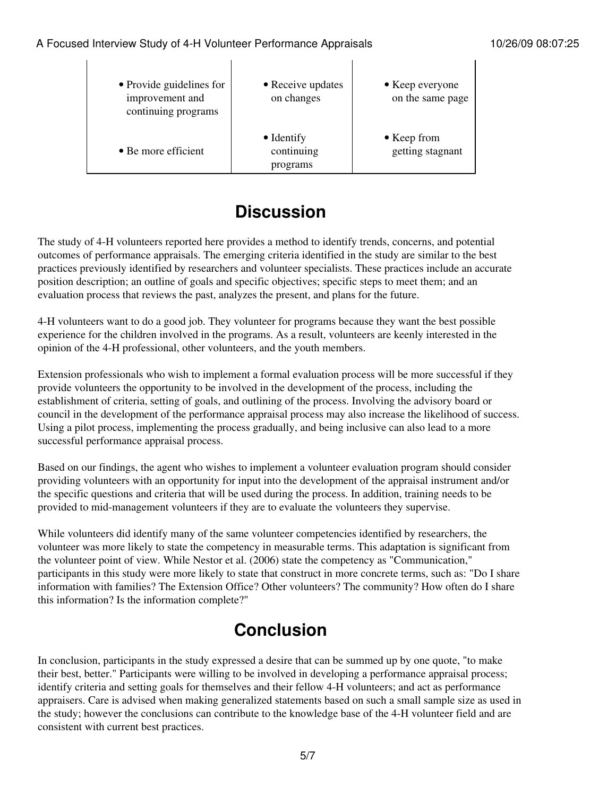| • Provide guidelines for<br>improvement and<br>continuing programs | • Receive updates<br>on changes              | $\bullet$ Keep everyone<br>on the same page |
|--------------------------------------------------------------------|----------------------------------------------|---------------------------------------------|
| $\bullet$ Be more efficient                                        | $\bullet$ Identify<br>continuing<br>programs | $\bullet$ Keep from<br>getting stagnant     |

### **Discussion**

The study of 4-H volunteers reported here provides a method to identify trends, concerns, and potential outcomes of performance appraisals. The emerging criteria identified in the study are similar to the best practices previously identified by researchers and volunteer specialists. These practices include an accurate position description; an outline of goals and specific objectives; specific steps to meet them; and an evaluation process that reviews the past, analyzes the present, and plans for the future.

4-H volunteers want to do a good job. They volunteer for programs because they want the best possible experience for the children involved in the programs. As a result, volunteers are keenly interested in the opinion of the 4-H professional, other volunteers, and the youth members.

Extension professionals who wish to implement a formal evaluation process will be more successful if they provide volunteers the opportunity to be involved in the development of the process, including the establishment of criteria, setting of goals, and outlining of the process. Involving the advisory board or council in the development of the performance appraisal process may also increase the likelihood of success. Using a pilot process, implementing the process gradually, and being inclusive can also lead to a more successful performance appraisal process.

Based on our findings, the agent who wishes to implement a volunteer evaluation program should consider providing volunteers with an opportunity for input into the development of the appraisal instrument and/or the specific questions and criteria that will be used during the process. In addition, training needs to be provided to mid-management volunteers if they are to evaluate the volunteers they supervise.

While volunteers did identify many of the same volunteer competencies identified by researchers, the volunteer was more likely to state the competency in measurable terms. This adaptation is significant from the volunteer point of view. While Nestor et al. (2006) state the competency as "Communication," participants in this study were more likely to state that construct in more concrete terms, such as: "Do I share information with families? The Extension Office? Other volunteers? The community? How often do I share this information? Is the information complete?"

## **Conclusion**

In conclusion, participants in the study expressed a desire that can be summed up by one quote, "to make their best, better." Participants were willing to be involved in developing a performance appraisal process; identify criteria and setting goals for themselves and their fellow 4-H volunteers; and act as performance appraisers. Care is advised when making generalized statements based on such a small sample size as used in the study; however the conclusions can contribute to the knowledge base of the 4-H volunteer field and are consistent with current best practices.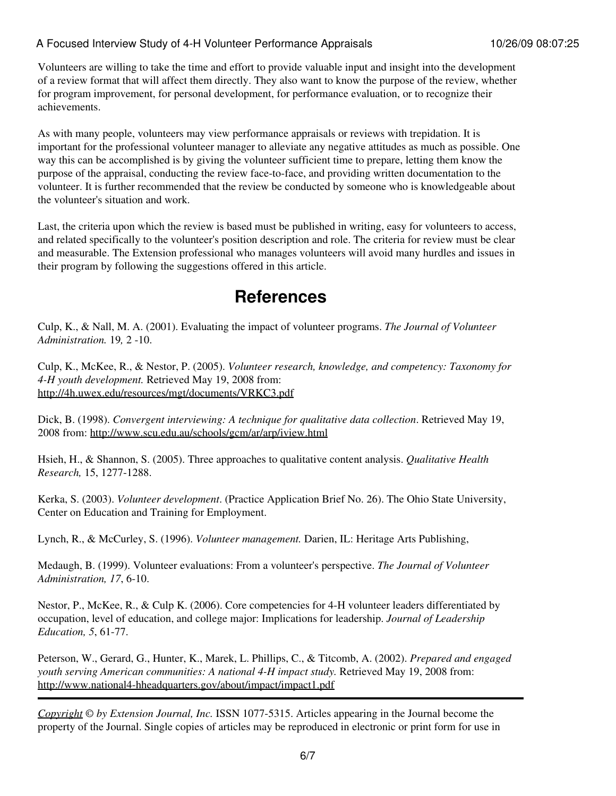#### A Focused Interview Study of 4-H Volunteer Performance Appraisals 10/26/09 08:07:25

Volunteers are willing to take the time and effort to provide valuable input and insight into the development of a review format that will affect them directly. They also want to know the purpose of the review, whether for program improvement, for personal development, for performance evaluation, or to recognize their achievements.

As with many people, volunteers may view performance appraisals or reviews with trepidation. It is important for the professional volunteer manager to alleviate any negative attitudes as much as possible. One way this can be accomplished is by giving the volunteer sufficient time to prepare, letting them know the purpose of the appraisal, conducting the review face-to-face, and providing written documentation to the volunteer. It is further recommended that the review be conducted by someone who is knowledgeable about the volunteer's situation and work.

Last, the criteria upon which the review is based must be published in writing, easy for volunteers to access, and related specifically to the volunteer's position description and role. The criteria for review must be clear and measurable. The Extension professional who manages volunteers will avoid many hurdles and issues in their program by following the suggestions offered in this article.

### **References**

Culp, K., & Nall, M. A. (2001). Evaluating the impact of volunteer programs. *The Journal of Volunteer Administration.* 19*,* 2 -10.

Culp, K., McKee, R., & Nestor, P. (2005). *Volunteer research, knowledge, and competency: Taxonomy for 4-H youth development.* Retrieved May 19, 2008 from: <http://4h.uwex.edu/resources/mgt/documents/VRKC3.pdf>

Dick, B. (1998). *Convergent interviewing: A technique for qualitative data collection*. Retrieved May 19, 2008 from: <http://www.scu.edu.au/schools/gcm/ar/arp/iview.html>

Hsieh, H., & Shannon, S. (2005). Three approaches to qualitative content analysis. *Qualitative Health Research,* 15, 1277-1288.

Kerka, S. (2003). *Volunteer development*. (Practice Application Brief No. 26). The Ohio State University, Center on Education and Training for Employment.

Lynch, R., & McCurley, S. (1996). *Volunteer management.* Darien, IL: Heritage Arts Publishing,

Medaugh, B. (1999). Volunteer evaluations: From a volunteer's perspective. *The Journal of Volunteer Administration, 17*, 6-10.

Nestor, P., McKee, R., & Culp K. (2006). Core competencies for 4-H volunteer leaders differentiated by occupation, level of education, and college major: Implications for leadership. *Journal of Leadership Education, 5*, 61-77.

Peterson, W., Gerard, G., Hunter, K., Marek, L. Phillips, C., & Titcomb, A. (2002). *Prepared and engaged youth serving American communities: A national 4-H impact study.* Retrieved May 19, 2008 from: <http://www.national4-hheadquarters.gov/about/impact/impact1.pdf>

*[Copyright](http://www.joe.org:80/joe/2009october/../../copyright.html) © by Extension Journal, Inc.* ISSN 1077-5315. Articles appearing in the Journal become the property of the Journal. Single copies of articles may be reproduced in electronic or print form for use in